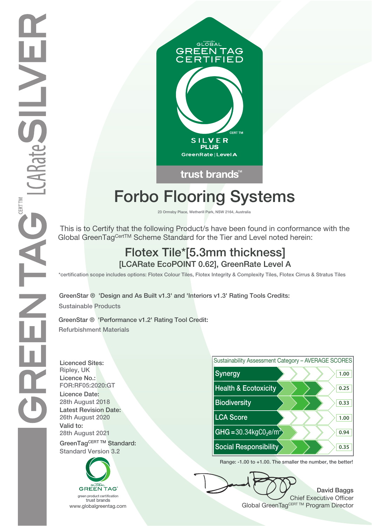

# **Forbo Flooring Systems**

**23 Ormsby Place, Wetherill Park, NSW 2164, Australia**

 This is to Certify that the following Product/s have been found in conformance with the Global GreenTagCertTM Scheme Standard for the Tier and Level noted herein:

## **Flotex Tile\*[5.3mm thickness] [LCARate EcoPOINT 0.62], GreenRate Level A**

**\*certification scope includes options: Flotex Colour Tiles, Flotex Integrity & Complexity Tiles, Flotex Cirrus & Stratus Tiles**

**GreenStar ® 'Design and As Built v1.3' and 'Interiors v1.3' Rating Tools Credits: Sustainable Products**

**GreenStar ® 'Performance v1.2' Rating Tool Credit: Refurbishment Materials**

**Licenced Sites: Licence No.: Licence Date: Latest Revision Date: Valid to:**





**Range: -1.00 to +1.00. The smaller the number, the better!**

**David Baggs** Chief Executive Officer WWW.globalgreentag.com **Program Director** Clobal GreenTagCERT TM Program Director